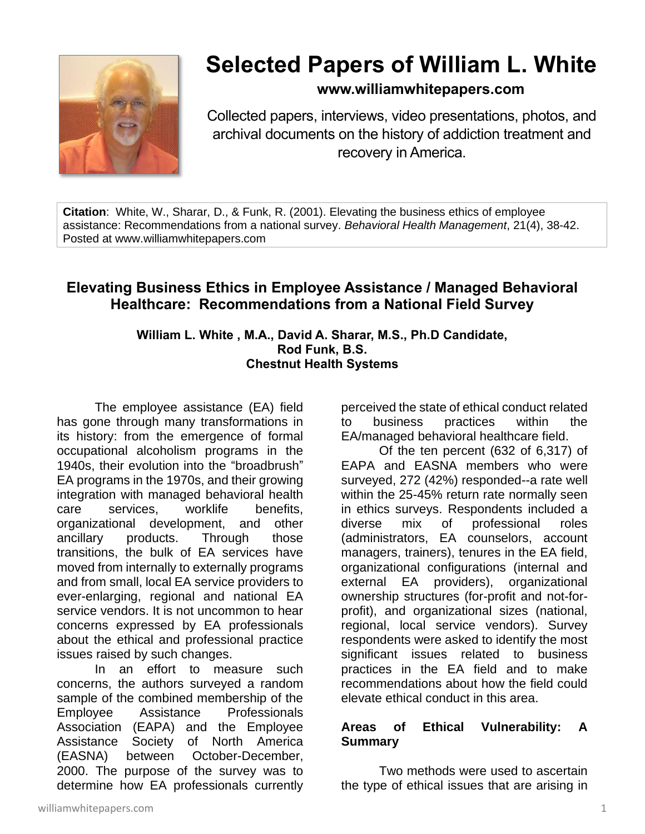

# **Selected Papers of William L. White**

# **www.williamwhitepapers.com**

Collected papers, interviews, video presentations, photos, and archival documents on the history of addiction treatment and recovery in America.

**Citation**: White, W., Sharar, D., & Funk, R. (2001). Elevating the business ethics of employee assistance: Recommendations from a national survey. *Behavioral Health Management*, 21(4), 38-42. Posted at www.williamwhitepapers.com

# **Elevating Business Ethics in Employee Assistance / Managed Behavioral Healthcare: Recommendations from a National Field Survey**

#### **William L. White , M.A., David A. Sharar, M.S., Ph.D Candidate, Rod Funk, B.S. Chestnut Health Systems**

The employee assistance (EA) field has gone through many transformations in its history: from the emergence of formal occupational alcoholism programs in the 1940s, their evolution into the "broadbrush" EA programs in the 1970s, and their growing integration with managed behavioral health care services, worklife benefits, organizational development, and other ancillary products. Through those transitions, the bulk of EA services have moved from internally to externally programs and from small, local EA service providers to ever-enlarging, regional and national EA service vendors. It is not uncommon to hear concerns expressed by EA professionals about the ethical and professional practice issues raised by such changes.

In an effort to measure such concerns, the authors surveyed a random sample of the combined membership of the Employee Assistance Professionals Association (EAPA) and the Employee Assistance Society of North America (EASNA) between October-December, 2000. The purpose of the survey was to determine how EA professionals currently perceived the state of ethical conduct related to business practices within the EA/managed behavioral healthcare field.

Of the ten percent (632 of 6,317) of EAPA and EASNA members who were surveyed, 272 (42%) responded--a rate well within the 25-45% return rate normally seen in ethics surveys. Respondents included a diverse mix of professional roles (administrators, EA counselors, account managers, trainers), tenures in the EA field, organizational configurations (internal and external EA providers), organizational ownership structures (for-profit and not-forprofit), and organizational sizes (national, regional, local service vendors). Survey respondents were asked to identify the most significant issues related to business practices in the EA field and to make recommendations about how the field could elevate ethical conduct in this area.

## **Areas of Ethical Vulnerability: A Summary**

Two methods were used to ascertain the type of ethical issues that are arising in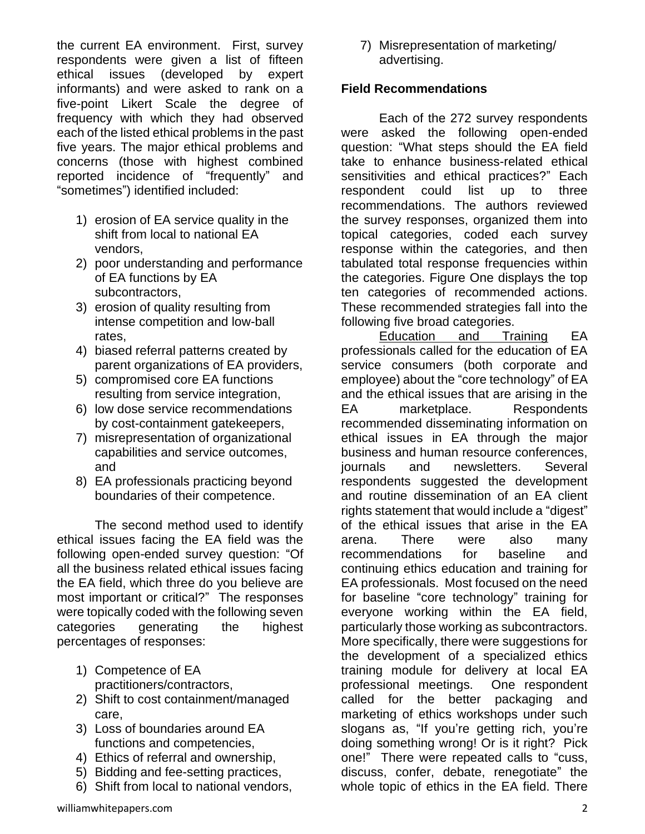the current EA environment. First, survey respondents were given a list of fifteen ethical issues (developed by expert informants) and were asked to rank on a five-point Likert Scale the degree of frequency with which they had observed each of the listed ethical problems in the past five years. The major ethical problems and concerns (those with highest combined reported incidence of "frequently" and "sometimes") identified included:

- 1) erosion of EA service quality in the shift from local to national EA vendors,
- 2) poor understanding and performance of EA functions by EA subcontractors,
- 3) erosion of quality resulting from intense competition and low-ball rates,
- 4) biased referral patterns created by parent organizations of EA providers,
- 5) compromised core EA functions resulting from service integration,
- 6) low dose service recommendations by cost-containment gatekeepers,
- 7) misrepresentation of organizational capabilities and service outcomes, and
- 8) EA professionals practicing beyond boundaries of their competence.

The second method used to identify ethical issues facing the EA field was the following open-ended survey question: "Of all the business related ethical issues facing the EA field, which three do you believe are most important or critical?" The responses were topically coded with the following seven categories generating the highest percentages of responses:

- 1) Competence of EA practitioners/contractors,
- 2) Shift to cost containment/managed care,
- 3) Loss of boundaries around EA functions and competencies,
- 4) Ethics of referral and ownership,
- 5) Bidding and fee-setting practices,
- 6) Shift from local to national vendors,

7) Misrepresentation of marketing/ advertising.

### **Field Recommendations**

Each of the 272 survey respondents were asked the following open-ended question: "What steps should the EA field take to enhance business-related ethical sensitivities and ethical practices?" Each respondent could list up to three recommendations. The authors reviewed the survey responses, organized them into topical categories, coded each survey response within the categories, and then tabulated total response frequencies within the categories. Figure One displays the top ten categories of recommended actions. These recommended strategies fall into the following five broad categories.

Education and Training EA professionals called for the education of EA service consumers (both corporate and employee) about the "core technology" of EA and the ethical issues that are arising in the EA marketplace. Respondents recommended disseminating information on ethical issues in EA through the major business and human resource conferences, journals and newsletters. Several respondents suggested the development and routine dissemination of an EA client rights statement that would include a "digest" of the ethical issues that arise in the EA arena. There were also many recommendations for baseline and continuing ethics education and training for EA professionals. Most focused on the need for baseline "core technology" training for everyone working within the EA field, particularly those working as subcontractors. More specifically, there were suggestions for the development of a specialized ethics training module for delivery at local EA professional meetings. One respondent called for the better packaging and marketing of ethics workshops under such slogans as, "If you're getting rich, you're doing something wrong! Or is it right? Pick one!" There were repeated calls to "cuss, discuss, confer, debate, renegotiate" the whole topic of ethics in the EA field. There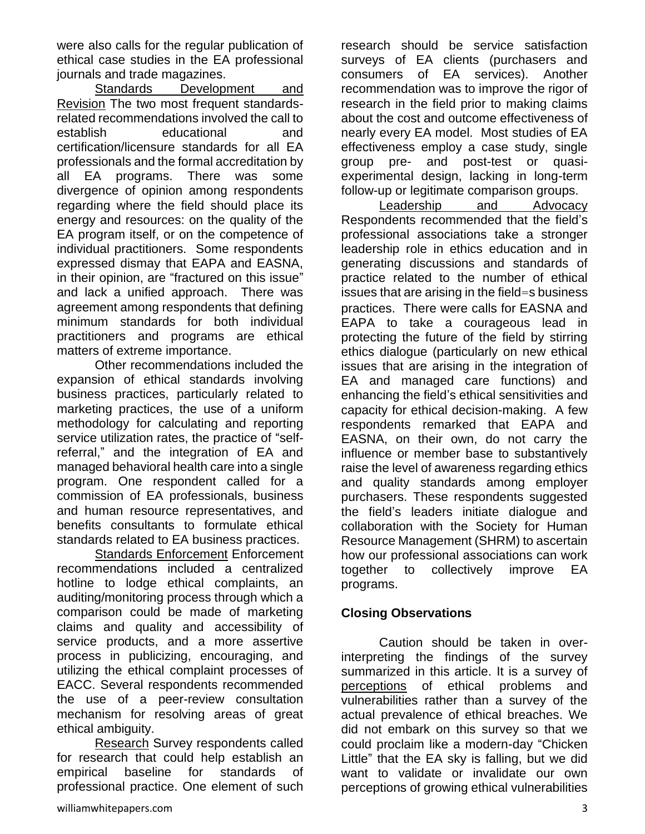were also calls for the regular publication of ethical case studies in the EA professional journals and trade magazines.

Standards Development and Revision The two most frequent standardsrelated recommendations involved the call to establish educational and certification/licensure standards for all EA professionals and the formal accreditation by all EA programs. There was some divergence of opinion among respondents regarding where the field should place its energy and resources: on the quality of the EA program itself, or on the competence of individual practitioners. Some respondents expressed dismay that EAPA and EASNA, in their opinion, are "fractured on this issue" and lack a unified approach. There was agreement among respondents that defining minimum standards for both individual practitioners and programs are ethical matters of extreme importance.

Other recommendations included the expansion of ethical standards involving business practices, particularly related to marketing practices, the use of a uniform methodology for calculating and reporting service utilization rates, the practice of "selfreferral," and the integration of EA and managed behavioral health care into a single program. One respondent called for a commission of EA professionals, business and human resource representatives, and benefits consultants to formulate ethical standards related to EA business practices.

Standards Enforcement Enforcement recommendations included a centralized hotline to lodge ethical complaints, an auditing/monitoring process through which a comparison could be made of marketing claims and quality and accessibility of service products, and a more assertive process in publicizing, encouraging, and utilizing the ethical complaint processes of EACC. Several respondents recommended the use of a peer-review consultation mechanism for resolving areas of great ethical ambiguity.

Research Survey respondents called for research that could help establish an empirical baseline for standards of professional practice. One element of such research should be service satisfaction surveys of EA clients (purchasers and consumers of EA services). Another recommendation was to improve the rigor of research in the field prior to making claims about the cost and outcome effectiveness of nearly every EA model. Most studies of EA effectiveness employ a case study, single group pre- and post-test or quasiexperimental design, lacking in long-term follow-up or legitimate comparison groups.

Leadership and Advocacy Respondents recommended that the field's professional associations take a stronger leadership role in ethics education and in generating discussions and standards of practice related to the number of ethical issues that are arising in the field=s business practices. There were calls for EASNA and EAPA to take a courageous lead in protecting the future of the field by stirring ethics dialogue (particularly on new ethical issues that are arising in the integration of EA and managed care functions) and enhancing the field's ethical sensitivities and capacity for ethical decision-making. A few respondents remarked that EAPA and EASNA, on their own, do not carry the influence or member base to substantively raise the level of awareness regarding ethics and quality standards among employer purchasers. These respondents suggested the field's leaders initiate dialogue and collaboration with the Society for Human Resource Management (SHRM) to ascertain how our professional associations can work together to collectively improve EA programs.

## **Closing Observations**

Caution should be taken in overinterpreting the findings of the survey summarized in this article. It is a survey of perceptions of ethical problems and vulnerabilities rather than a survey of the actual prevalence of ethical breaches. We did not embark on this survey so that we could proclaim like a modern-day "Chicken Little" that the EA sky is falling, but we did want to validate or invalidate our own perceptions of growing ethical vulnerabilities